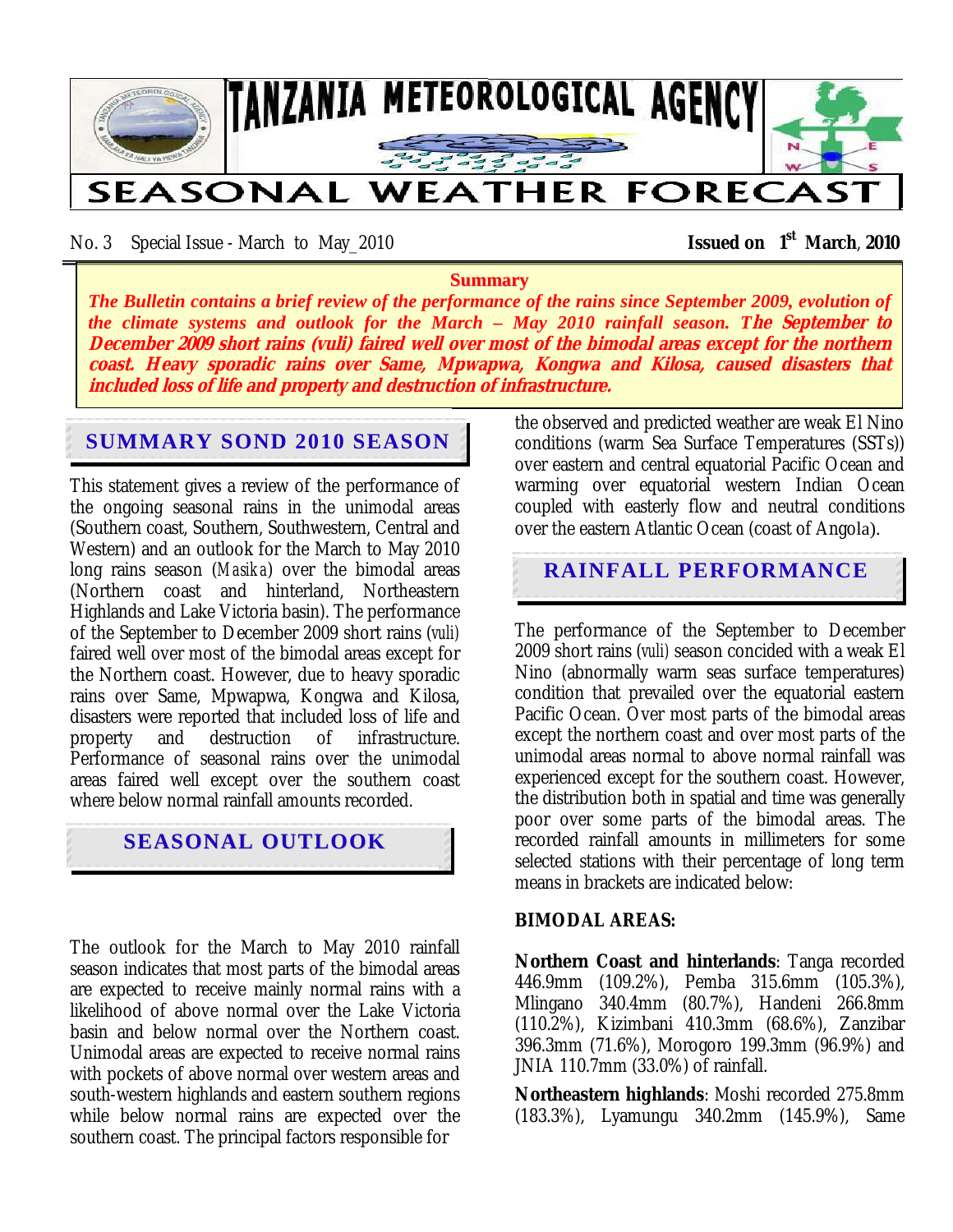

No. 3 Special Issue - March to May\_2010 **Issued on 1st March**, **2010** 

#### **Summary**

*The Bulletin contains a brief review of the performance of the rains since September 2009, evolution of the climate systems and outlook for the March – May 2010 rainfall season. T***he September to December 2009 short rains (vuli) faired well over most of the bimodal areas except for the northern coast. Heavy sporadic rains over Same, Mpwapwa, Kongwa and Kilosa, caused disasters that included loss of life and property and destruction of infrastructure.** 

# **SUMMARY SOND 2010 SEASON**

This statement gives a review of the performance of the ongoing seasonal rains in the unimodal areas (Southern coast, Southern, Southwestern, Central and Western) and an outlook for the March to May 2010 long rains season (*Masika*) over the bimodal areas (Northern coast and hinterland, Northeastern Highlands and Lake Victoria basin). The performance of the September to December 2009 short rains (*vuli)*  faired well over most of the bimodal areas except for the Northern coast. However, due to heavy sporadic rains over Same, Mpwapwa, Kongwa and Kilosa, disasters were reported that included loss of life and<br>property and destruction of infrastructure. property and destruction of infrastructure. Performance of seasonal rains over the unimodal areas faired well except over the southern coast where below normal rainfall amounts recorded.

# **SEASONAL OUTLOOK**

The outlook for the March to May 2010 rainfall season indicates that most parts of the bimodal areas are expected to receive mainly normal rains with a likelihood of above normal over the Lake Victoria basin and below normal over the Northern coast. Unimodal areas are expected to receive normal rains with pockets of above normal over western areas and south-western highlands and eastern southern regions while below normal rains are expected over the southern coast. The principal factors responsible for

the observed and predicted weather are weak El Nino conditions (warm Sea Surface Temperatures (SSTs)) over eastern and central equatorial Pacific Ocean and warming over equatorial western Indian Ocean coupled with easterly flow and neutral conditions over the eastern Atlantic Ocean (coast of Angola).

# **RAINFALL PERFORMANCE**

The performance of the September to December 2009 short rains (*vuli)* season concided with a weak El Nino (abnormally warm seas surface temperatures) condition that prevailed over the equatorial eastern Pacific Ocean. Over most parts of the bimodal areas except the northern coast and over most parts of the unimodal areas normal to above normal rainfall was experienced except for the southern coast. However, the distribution both in spatial and time was generally poor over some parts of the bimodal areas. The recorded rainfall amounts in millimeters for some selected stations with their percentage of long term means in brackets are indicated below:

#### **BIMODAL AREAS:**

**Northern Coast and hinterlands**: Tanga recorded 446.9mm (109.2%), Pemba 315.6mm (105.3%), Mlingano 340.4mm (80.7%), Handeni 266.8mm (110.2%), Kizimbani 410.3mm (68.6%), Zanzibar 396.3mm (71.6%), Morogoro 199.3mm (96.9%) and JNIA 110.7mm (33.0%) of rainfall.

**Northeastern highlands**: Moshi recorded 275.8mm (183.3%), Lyamungu 340.2mm (145.9%), Same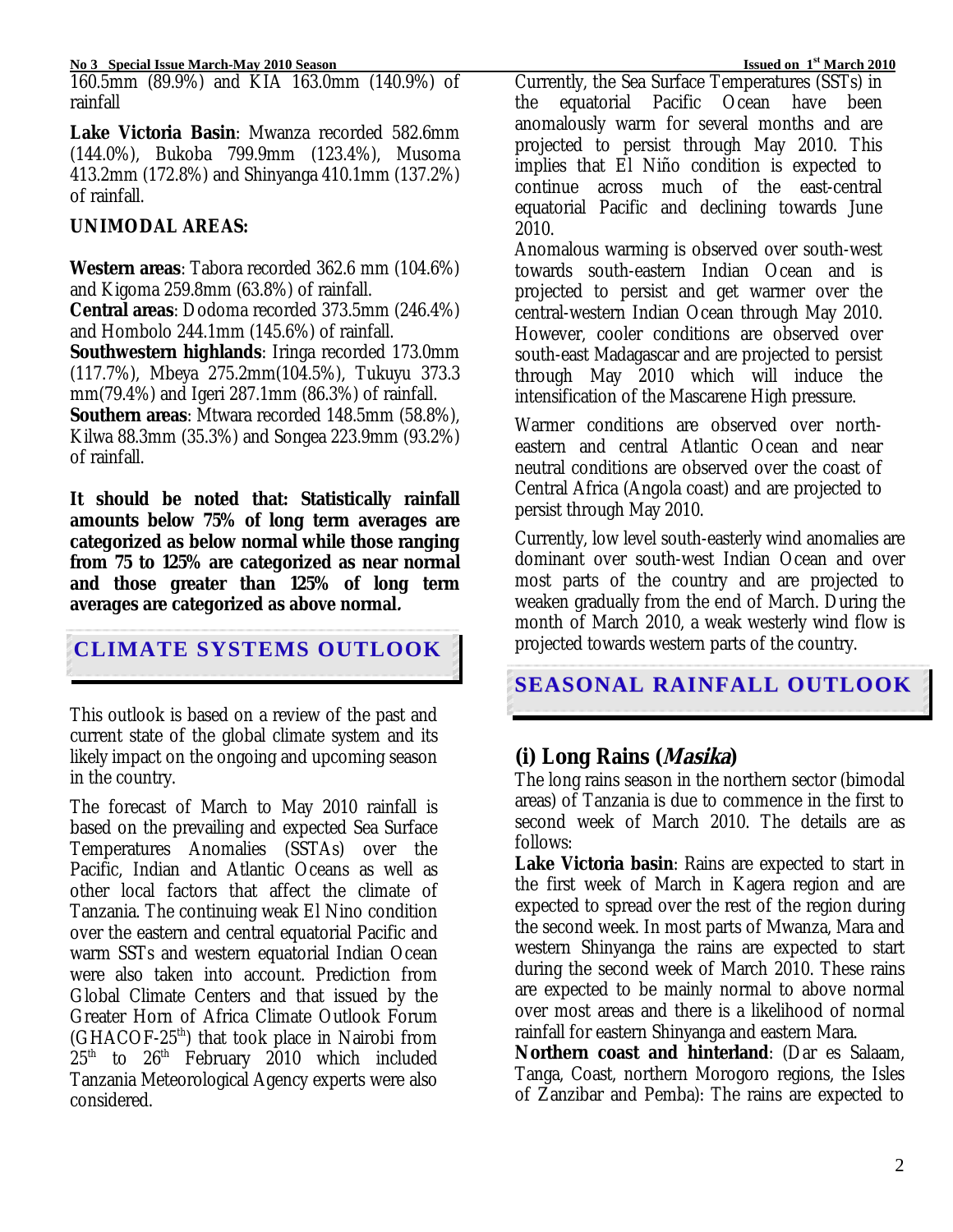160.5mm (89.9%) and KIA 163.0mm (140.9%) of rainfall

**Lake Victoria Basin**: Mwanza recorded 582.6mm (144.0%), Bukoba 799.9mm (123.4%), Musoma 413.2mm (172.8%) and Shinyanga 410.1mm (137.2%) of rainfall.

# **UNIMODAL AREAS:**

**Western areas**: Tabora recorded 362.6 mm (104.6%) and Kigoma 259.8mm (63.8%) of rainfall.

**Central areas**: Dodoma recorded 373.5mm (246.4%) and Hombolo 244.1mm (145.6%) of rainfall.

**Southwestern highlands**: Iringa recorded 173.0mm (117.7%), Mbeya 275.2mm(104.5%), Tukuyu 373.3 mm(79.4%) and Igeri 287.1mm (86.3%) of rainfall.

**Southern areas**: Mtwara recorded 148.5mm (58.8%), Kilwa 88.3mm (35.3%) and Songea 223.9mm (93.2%) of rainfall.

**It should be noted that: Statistically rainfall amounts below 75% of long term averages are categorized as below normal while those ranging from 75 to 125% are categorized as near normal and those greater than 125% of long term averages are categorized as above normal.** 

# **CLIMATE SYSTEMS OUTLOOK**

This outlook is based on a review of the past and current state of the global climate system and its likely impact on the ongoing and upcoming season in the country.

The forecast of March to May 2010 rainfall is based on the prevailing and expected Sea Surface Temperatures Anomalies (SSTAs) over the Pacific, Indian and Atlantic Oceans as well as other local factors that affect the climate of Tanzania. The continuing weak El Nino condition over the eastern and central equatorial Pacific and warm SSTs and western equatorial Indian Ocean were also taken into account. Prediction from Global Climate Centers and that issued by the Greater Horn of Africa Climate Outlook Forum (GHACOF-25th) that took place in Nairobi from  $25<sup>th</sup>$  to  $26<sup>th</sup>$  February 2010 which included Tanzania Meteorological Agency experts were also considered.

Currently, the Sea Surface Temperatures (SSTs) in the equatorial Pacific Ocean have been anomalously warm for several months and are projected to persist through May 2010. This implies that El Niño condition is expected to continue across much of the east-central equatorial Pacific and declining towards June 2010.

Anomalous warming is observed over south-west towards south-eastern Indian Ocean and is projected to persist and get warmer over the central-western Indian Ocean through May 2010. However, cooler conditions are observed over south-east Madagascar and are projected to persist through May 2010 which will induce the intensification of the Mascarene High pressure.

Warmer conditions are observed over northeastern and central Atlantic Ocean and near neutral conditions are observed over the coast of Central Africa (Angola coast) and are projected to persist through May 2010.

Currently, low level south-easterly wind anomalies are dominant over south-west Indian Ocean and over most parts of the country and are projected to weaken gradually from the end of March. During the month of March 2010, a weak westerly wind flow is projected towards western parts of the country.

 **SEASONAL RAINFALL OUTLOOK**

# **(i) Long Rains (Masika)**

The long rains season in the northern sector (bimodal areas) of Tanzania is due to commence in the first to second week of March 2010. The details are as follows:

**Lake Victoria basin**: Rains are expected to start in the first week of March in Kagera region and are expected to spread over the rest of the region during the second week. In most parts of Mwanza, Mara and western Shinyanga the rains are expected to start during the second week of March 2010. These rains are expected to be mainly normal to above normal over most areas and there is a likelihood of normal rainfall for eastern Shinyanga and eastern Mara.

**Northern coast and hinterland**: (Dar es Salaam, Tanga, Coast, northern Morogoro regions, the Isles of Zanzibar and Pemba): The rains are expected to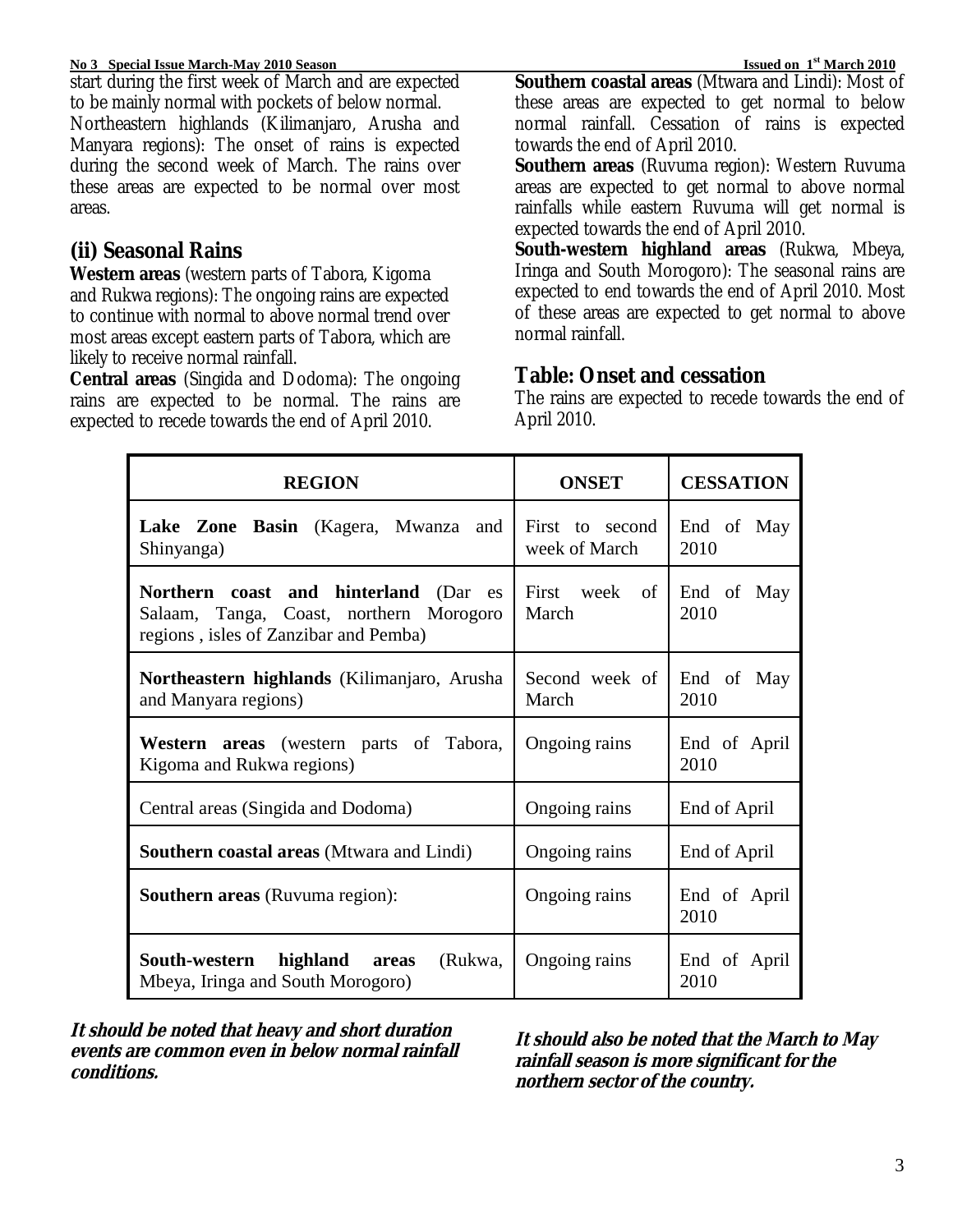#### **No 3 Special Issue March-May 2010 Season Issued on 1<sup>st</sup> March 2010**

start during the first week of March and are expected to be mainly normal with pockets of below normal. Northeastern highlands (Kilimanjaro, Arusha and Manyara regions): The onset of rains is expected during the second week of March. The rains over these areas are expected to be normal over most areas.

# **(ii) Seasonal Rains**

**Western areas** (western parts of Tabora, Kigoma and Rukwa regions): The ongoing rains are expected to continue with normal to above normal trend over most areas except eastern parts of Tabora, which are likely to receive normal rainfall.

**Central areas** (Singida and Dodoma): The ongoing rains are expected to be normal. The rains are expected to recede towards the end of April 2010.

**Southern coastal areas** (Mtwara and Lindi): Most of these areas are expected to get normal to below normal rainfall. Cessation of rains is expected towards the end of April 2010.

**Southern areas** (Ruvuma region): Western Ruvuma areas are expected to get normal to above normal rainfalls while eastern Ruvuma will get normal is expected towards the end of April 2010.

**South-western highland areas** (Rukwa, Mbeya, Iringa and South Morogoro): The seasonal rains are expected to end towards the end of April 2010. Most of these areas are expected to get normal to above normal rainfall.

## **Table: Onset and cessation**

The rains are expected to recede towards the end of April 2010.

| <b>REGION</b>                                                                                                             | <b>ONSET</b>                     | <b>CESSATION</b>     |
|---------------------------------------------------------------------------------------------------------------------------|----------------------------------|----------------------|
| Lake Zone Basin (Kagera, Mwanza<br>and<br>Shinyanga)                                                                      | First to second<br>week of March | End of May<br>2010   |
| Northern coast and hinterland (Dar es<br>Salaam, Tanga, Coast, northern Morogoro<br>regions, isles of Zanzibar and Pemba) | First week of<br>March           | End of May<br>2010   |
| Northeastern highlands (Kilimanjaro, Arusha<br>and Manyara regions)                                                       | Second week of<br>March          | End of May<br>2010   |
| Western areas (western parts of Tabora,<br>Kigoma and Rukwa regions)                                                      | Ongoing rains                    | End of April<br>2010 |
| Central areas (Singida and Dodoma)                                                                                        | Ongoing rains                    | End of April         |
| <b>Southern coastal areas (Mtwara and Lindi)</b>                                                                          | Ongoing rains                    | End of April         |
| <b>Southern areas</b> (Ruvuma region):                                                                                    | Ongoing rains                    | End of April<br>2010 |
| South-western highland areas<br>(Rukwa,<br>Mbeya, Iringa and South Morogoro)                                              | Ongoing rains                    | End of April<br>2010 |

**It should be noted that heavy and short duration events are common even in below normal rainfall conditions.** 

**It should also be noted that the March to May rainfall season is more significant for the northern sector of the country.**